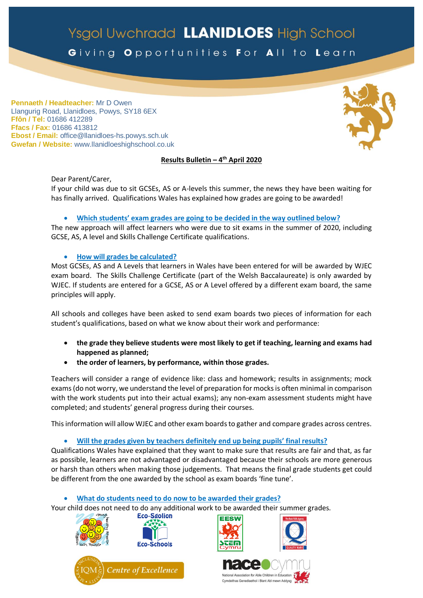# Ysgol Uwchradd LLANIDLOES High School

Giving Opportunities For All to Learn

**Pennaeth / Headteacher:** Mr D Owen Llangurig Road, Llanidloes, Powys, SY18 6EX **Ffôn / Tel:** 01686 412289 **Ffacs / Fax:** 01686 413812 **Ebost / Email:** office@llanidloes-hs.powys.sch.uk **Gwefan / Website:** www.llanidloeshighschool.co.uk

### **Results Bulletin – 4 th April 2020**

Dear Parent/Carer, If your child was due to sit GCSEs, AS or A-levels this summer, the news they have been waiting for has finally arrived. Qualifications Wales has explained how grades are going to be awarded!

### **Which students' exam grades are going to be decided in the way outlined below?**

The new approach will affect learners who were due to sit exams in the summer of 2020, including GCSE, AS, A level and Skills Challenge Certificate qualifications.

**How will grades be calculated?**

Most GCSEs, AS and A Levels that learners in Wales have been entered for will be awarded by WJEC exam board. The Skills Challenge Certificate (part of the Welsh Baccalaureate) is only awarded by WJEC. If students are entered for a GCSE, AS or A Level offered by a different exam board, the same principles will apply.

All schools and colleges have been asked to send exam boards two pieces of information for each student's qualifications, based on what we know about their work and performance:

- **the grade they believe students were most likely to get if teaching, learning and exams had happened as planned;**
- **the order of learners, by performance, within those grades.**

Teachers will consider a range of evidence like: class and homework; results in assignments; mock exams(do not worry, we understand the level of preparation for mocks is often minimal in comparison with the work students put into their actual exams); any non-exam assessment students might have completed; and students' general progress during their courses.

This information will allow WJEC and other exam boards to gather and compare grades across centres.

**Will the grades given by teachers definitely end up being pupils' final results?**

Qualifications Wales have explained that they want to make sure that results are fair and that, as far as possible, learners are not advantaged or disadvantaged because their schools are more generous or harsh than others when making those judgements. That means the final grade students get could be different from the one awarded by the school as exam boards 'fine tune'.

**What do students need to do now to be awarded their grades?**

Your child does not need to do any additional work to be awarded their summer grades.<br>**ECO-Sgolion**